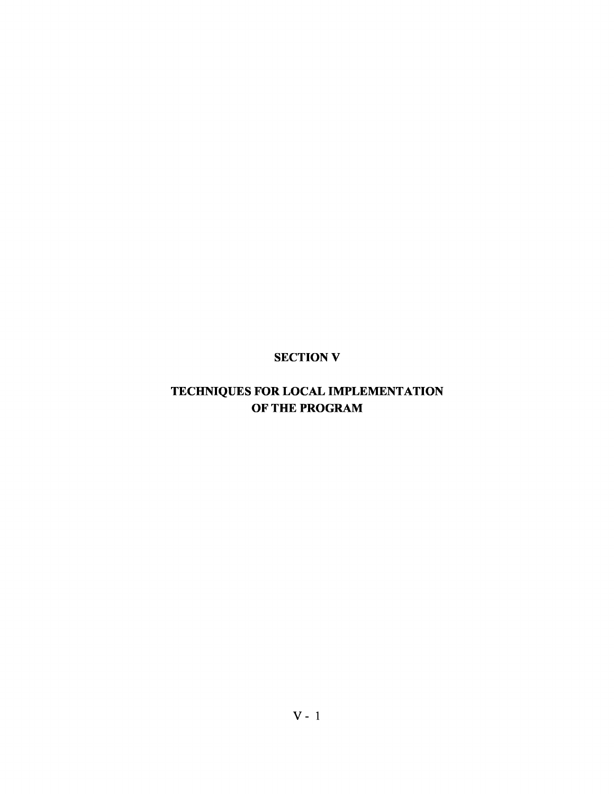## SECTION V

## TECHNIQUES FOR LOCAL IMPLEMENTATION OF THE PROGRAM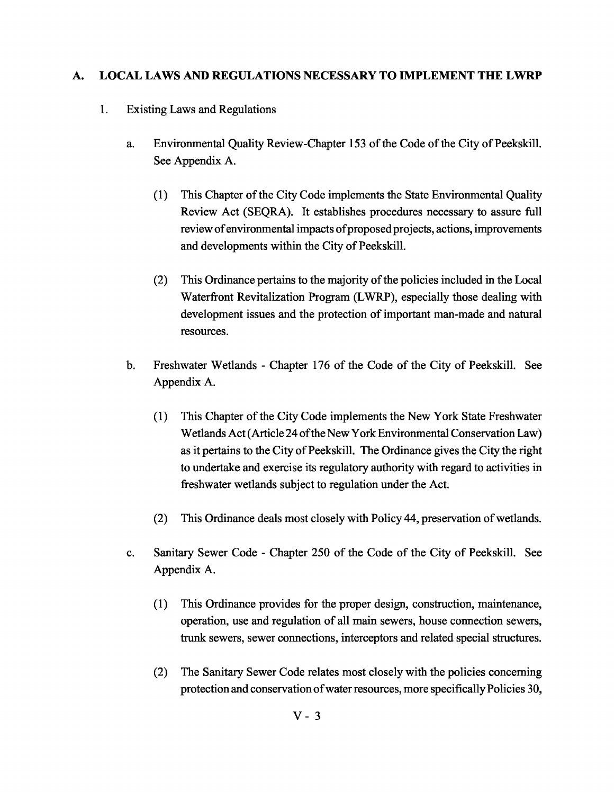### A. LOCAL LAWS AND REGULATIONS NECESSARY TO IMPLEMENT THE LWRP

- 1. Existing Laws and Regulations
	- a. Environmental Quality Review-Chapter 153 of the Code of the City of Peekskill. See Appendix A.
		- (1) This Chapter of the City Code implements the State Environmental Quality Review Act (SEQRA). It establishes procedures necessary to assure full review of environmental impacts of proposed projects, actions, improvements and developments within the City of Peekskill.
		- (2) This Ordinance pertains to the majority ofthe policies included in the Local Waterfront Revitalization Program (LWRP), especially those dealing with development issues and the protection of important man-made and natural resources.
	- b. Freshwater Wetlands Chapter 176 of the Code of the City of Peekskill. See Appendix A.
		- (1) This Chapter of the City Code implements the New York State Freshwater Wetlands Act (Article 24 of the New York Environmental Conservation Law) as it pertains to the City of Peekskill. The Ordinance gives the City the right to undertake and exercise its regulatory authority with regard to activities in freshwater wetlands subject to regulation under the Act.
		- (2) This Ordinance deals most closely with Policy 44, preservation of wetlands.
	- c. Sanitary Sewer Code Chapter 250 of the Code of the City of Peekskill. See Appendix A.
		- (1) This Ordinance provides for the proper design, construction, maintenance, operation, use and regulation of all main sewers, house connection sewers, trunk sewers, sewer connections, interceptors and related special structures.
		- (2) The Sanitary Sewer Code relates most closely with the policies concerning protection and conservation of water resources, more specifically Policies 30,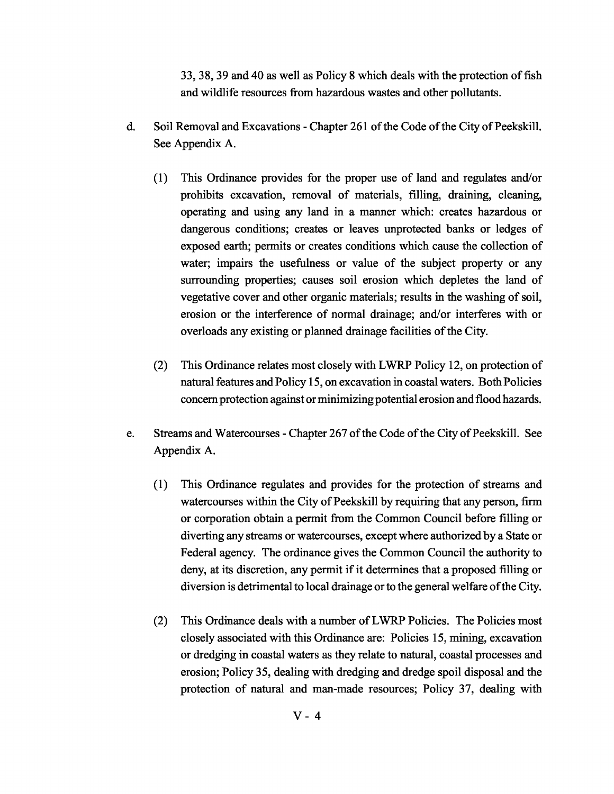33, 38, 39 and 40 as well as Policy 8 which deals with the protection of fish and wildlife resources from hazardous wastes and other pollutants.

- d. Soil Removal and Excavations Chapter 261 of the Code of the City of Peekskill. See Appendix A.
	- (1) This Ordinance provides for the proper use of land and regulates and/or prohibits excavation, removal of materials, filling, draining, cleaning, operating and using any land in a manner which: creates hazardous or dangerous conditions; creates or leaves unprotected banks or ledges of exposed earth; permits or creates conditions which cause the collection of water; impairs the usefulness or value of the subject property or any surrounding properties; causes soil erosion which depletes the land of vegetative cover and other organic materials; results in the washing of soil, erosion or the interference of normal drainage; and/or interferes with or overloads any existing or planned drainage facilities of the City.
	- (2) This Ordinance relates most closely with LWRP Policy 12, on protection of natural features and Policy 15, on excavation in coastal waters. Both Policies concern protection against or minimizing potential erosion and flood hazards.
- e. Streams and Watercourses Chapter 267 of the Code of the City of Peekskill. See Appendix A.
	- (1) This Ordinance regulates and provides for the protection of streams and watercourses within the City of Peekskill by requiring that any person, firm or corporation obtain a permit from the Common Council before filling or diverting any streams or watercourses, except where authorized by a State or Federal agency. The ordinance gives the Common Council the authority to deny, at its discretion, any permit if it determines that a proposed filling or diversion is detrimental to local drainage or to the general welfare of the City.
	- (2) This Ordinance deals with a number ofLWRP Policies. The Policies most closely associated with this Ordinance are: Policies 15, mining, excavation or dredging in coastal waters as they relate to natural, coastal processes and erosion; Policy 35, dealing with dredging and dredge spoil disposal and the protection of natural and man-made resources; Policy 37, dealing with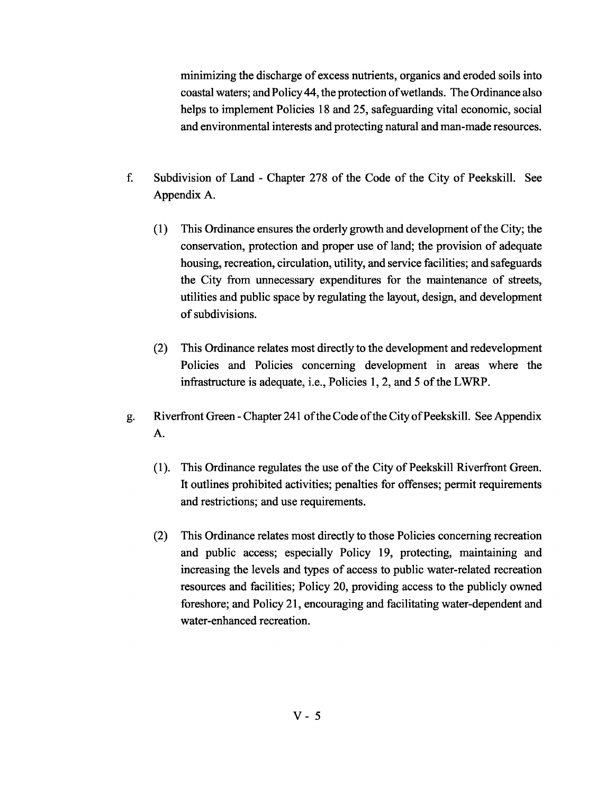minimizing the discharge of excess nutrients, organics and eroded soils into coastal waters; andPolicy44, the protection ofwetlands. The Ordinance also helps to implement Policies 18 and 25, safeguarding vital economic, social and environmental interests and protecting natural and man-made resources.

- f. Subdivision of Land Chapter 278 of the Code of the City of Peekskill. See Appendix A.
	- (1) This Ordinance ensures the orderly growth and development ofthe City; the conservation, protection and proper use of land; the provision of adequate housing, recreation, circulation, utility, and service facilities; and safeguards the City from unnecessary expenditures for the maintenance of streets, utilities and public space by regulating the layout, design, and development of subdivisions.
	- (2) This Ordinance relates most directly to the development and redevelopment Policies and Policies concerning development in areas where the infrastructure is adequate, i.e., Policies 1, 2, and 5 of the LWRP.
- g. Riverfront Green Chapter 241 of the Code of the City of Peekskill. See Appendix A.
	- (1). This Ordinance regulates the use ofthe City of Peekskill Riverfront Green. It outlines prohibited activities; penalties for offenses; permit requirements and restrictions; and use requirements.
	- (2) This Ordinance relates most directly to those Policies concerning recreation and public access; especially Policy 19, protecting, maintaining and increasing the levels and types of access to public water-related recreation resources and facilities; Policy 20, providing access to the publicly owned foreshore; and Policy 21, encouraging and facilitating water-dependent and water-enhanced recreation.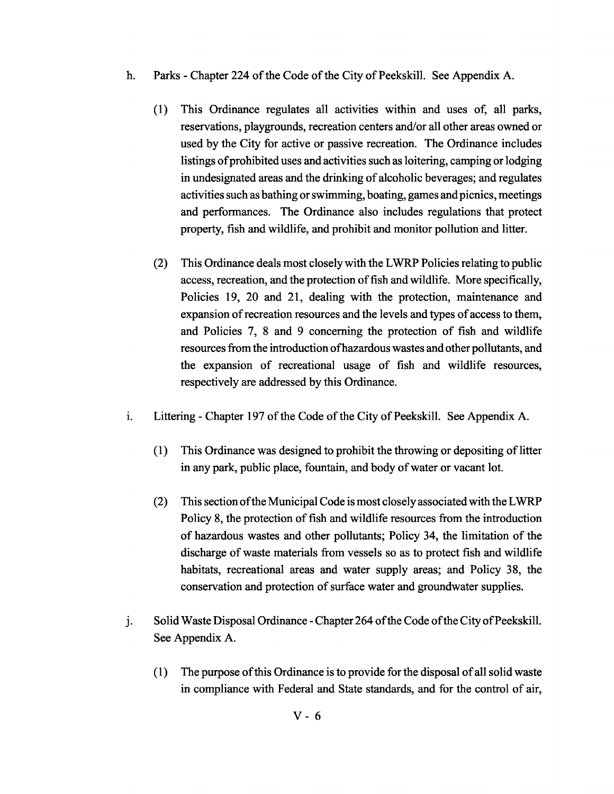- h. Parks Chapter 224 of the Code of the City of Peekskill. See Appendix A.
	- (1) This Ordinance regulates all activities within and uses of, all parks, reservations, playgrounds, recreation centers and/or all other areas owned or used by the City for active or passive recreation. The Ordinance includes listings of prohibited uses and activities such as loitering, camping or lodging in undesignated areas and the drinking of alcoholic beverages; and regulates activities such as bathing orswimming, boating, games andpicnics, meetings and performances. The Ordinance also includes regulations that protect property, fish and wildlife, and prohibit and monitor pollution and litter.
	- (2) This Ordinance deals most closelywith the LWRP Policies relating to public access, recreation, and the protection of fish and wildlife. More specifically, Policies 19, 20 and 21, dealing with the protection, maintenance and expansion of recreation resources and the levels and types of access to them, and Policies 7, 8 and 9 concerning the protection of fish and wildlife resources from the introduction of hazardous wastes and other pollutants, and the expansion of recreational usage of fish and wildlife resources, respectively are addressed by this Ordinance.
- i. Littering Chapter 197 of the Code of the City of Peekskill. See Appendix A.
	- (1) This Ordinance was designed to prohibit the throwing or depositing oflitter in any park, public place, fountain, and body of water or vacant lot.
	- (2) This section ofthe Municipal Code is most closelyassociatedwith the LWRP Policy 8, the protection of fish and wildlife resources from the introduction of hazardous wastes and other pollutants; Policy 34, the limitation of the discharge of waste materials from vessels so as to protect fish and wildlife habitats, recreational areas and water supply areas; and Policy 38, the conservation and protection of surface water and groundwater supplies.
- j. Solid Waste Disposal Ordinance Chapter 264 of the Code of the City of Peekskill. See Appendix A.
	- (1) The purpose ofthis Ordinance is to provide for the disposal ofall solid waste in compliance with Federal and State standards, and for the control of air,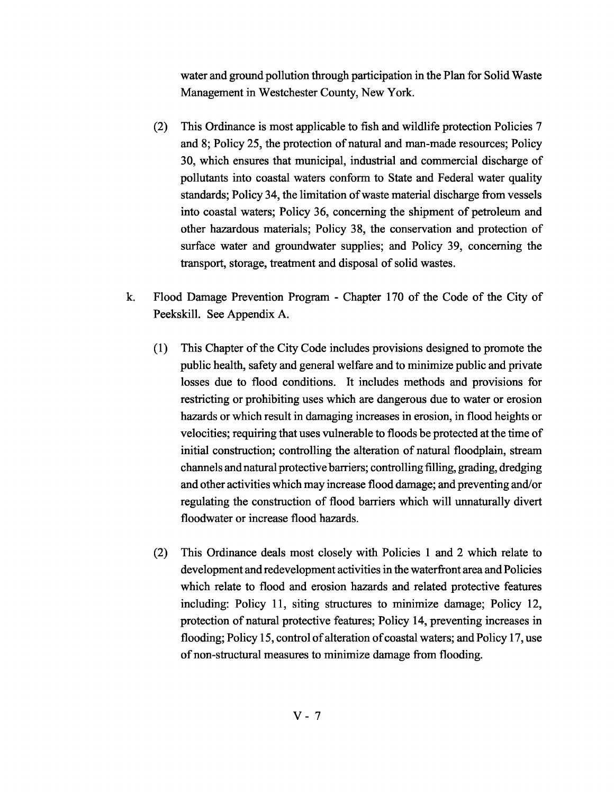water and ground pollution through participation in the Plan for Solid Waste Management in Westchester County, New York.

- (2) This Ordinance is most applicable to fish and wildlife protection Policies 7 and 8; Policy 25, the protection of natural and man-made resources; Policy 30, which ensures that municipal, industrial and commercial discharge of pollutants into coastal waters conform to State and Federal water quality standards; Policy 34, the limitation of waste material discharge from vessels into coastal waters; Policy 36, concerning the shipment of petroleum and other hazardous materials; Policy 38, the conservation and protection of surface water and groundwater supplies; and Policy 39, concerning the transport, storage, treatment and disposal of solid wastes.
- k. Flood Damage Prevention Program Chapter 170 of the Code of the City of Peekskill. See Appendix A.
	- (1) This Chapter of the City Code includes provisions designed to promote the public health, safety and general welfare and to minimize public and private losses due to flood conditions. It includes methods and provisions for restricting or prohibiting uses which are dangerous due to water or erosion hazards or which result in damaging increases in erosion, in flood heights or velocities; requiring that uses vulnerable to floods be protected at the time of initial construction; controlling the alteration of natural floodplain, stream channels andnatural protective barriers; controlling filling, grading, dredging and other activities which may increase flood damage; and preventing and/or regulating the construction of flood barriers which will unnaturally divert floodwater or increase flood hazards.
	- (2) This Ordinance deals most closely with Policies 1 and 2 which relate to development and redevelopment activities in the waterfront area and Policies which relate to flood and erosion hazards and related protective features including: Policy 11, siting structures to minimize damage; Policy 12, protection of natural protective features; Policy 14, preventing increases in flooding; Policy 15, control of alteration of coastal waters; and Policy 17, use of non-structural measures to minimize damage from flooding.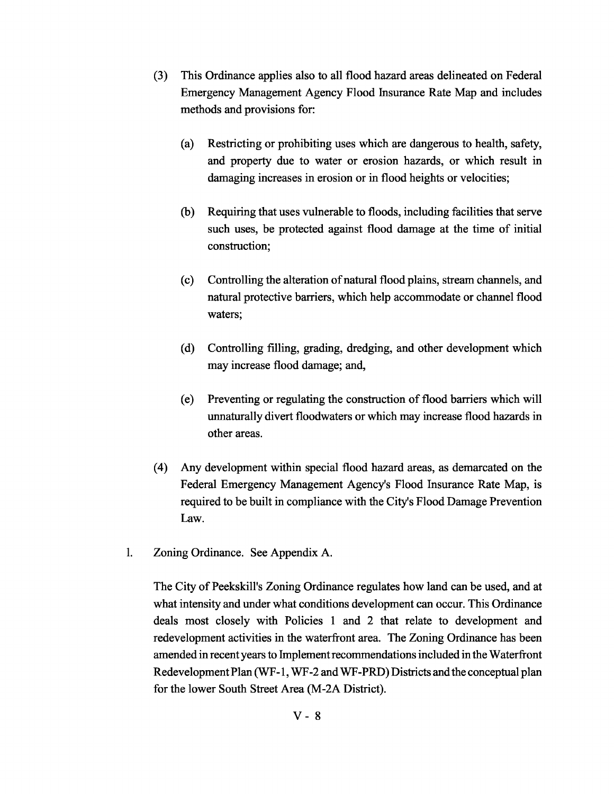- (3) This Ordinance applies also to all flood hazard areas delineated on Federal Emergency Management Agency Flood Insurance Rate Map and includes methods and provisions for:
	- (a) Restricting or prohibiting uses which are dangerous to health, safety, and property due to water or erosion hazards, or which result in damaging increases in erosion or in flood heights or velocities;
	- (b) Requiring that uses vulnerable to floods, including facilities that serve such uses, be protected against flood damage at the time of initial construction;
	- (c) Controlling the alteration ofnatural flood plains, stream channels, and natural protective barriers, which help accommodate or channel flood waters;
	- (d) Controlling filling, grading, dredging, and other development which may increase flood damage; and,
	- (e) Preventing or regulating the construction of flood barriers which will unnaturally divert floodwaters or which may increase flood hazards in other areas.
- (4) Any development within special flood hazard areas, as demarcated on the Federal Emergency Management Agency's Flood Insurance Rate Map, is required to be built in compliance with the City's Flood Damage Prevention Law.
- 1. Zoning Ordinance. See Appendix A.

The City of Peekskill's Zoning Ordinance regulates how land can be used, and at what intensity and under what conditions development can occur. This Ordinance deals most closely with Policies 1 and 2 that relate to development and redevelopment activities in the waterfront area. The Zoning Ordinance has been amended in recent years to Implement recommendations included in the Waterfront Redevelopment Plan (WF-1, WF-2 and WF-PRD) Districts and the conceptual plan for the lower South Street Area (M-2A District).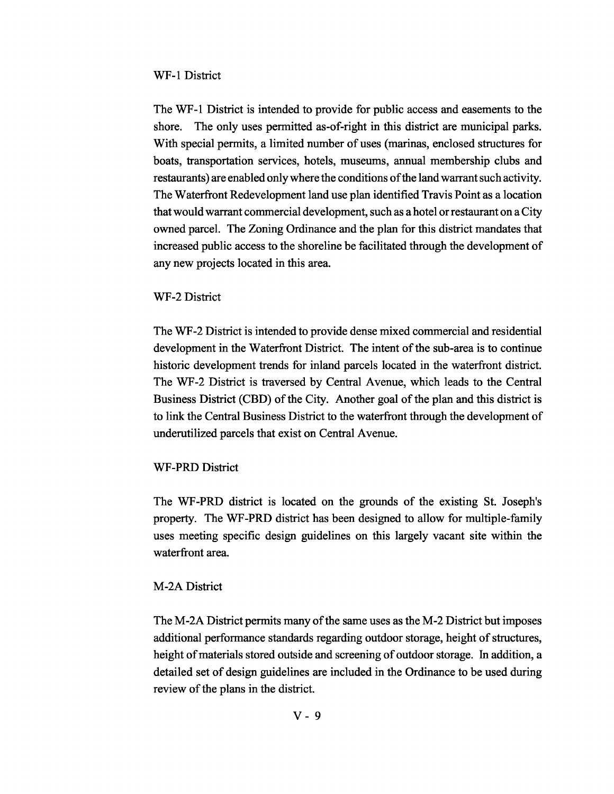#### WF-1 District

The WF-1 District is intended to provide for public access and easements to the shore. The only uses permitted as-of-right in this district are municipal parks. With special permits, a limited number of uses (marinas, enclosed structures for boats, transportation services, hotels, museums, annual membership clubs and restaurants) are enabled only where the conditions of the land warrant such activity. The Waterfront Redevelopment land use plan identified Travis Point as a location that wouldwarrant commercial development, such as a hotel orrestaurant on a City owned parcel. The Zoning Ordinance and the plan for this district mandates that increased public access to the shoreline be facilitated through the development of any new projects located in this area.

#### WF-2 District

The WF-2 District is intended to provide dense mixed commercial and residential development in the Waterfront District. The intent of the sub-area is to continue historic development trends for inland parcels located in the waterfront district. The WF-2 District is traversed by Central Avenue, which leads to the Central Business District (CBD) of the City. Another goal of the plan and this district is to link the Central Business District to the waterfront through the development of underutilized parcels that exist on Central Avenue.

#### WF-PRD District

The WF-PRD district is located on the grounds of the existing St. Joseph's property. The WF-PRD district has been designed to allow for multiple-family uses meeting specific design guidelines on this largely vacant site within the waterfront area.

#### M-2A District

The M-2A District permits many of the same uses as the M-2 District but imposes additional performance standards regarding outdoor storage, height of structures, height of materials stored outside and screening of outdoor storage. In addition, a detailed set of design guidelines are included in the Ordinance to be used during review of the plans in the district.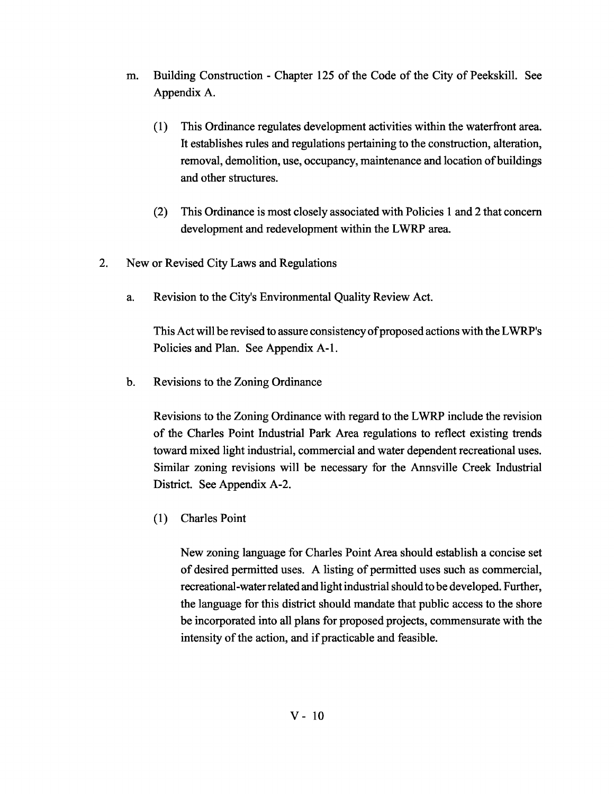- m. Building Construction Chapter 125 of the Code of the City of Peekskill. See Appendix A.
	- (1) This Ordinance regulates development activities within the waterfront area. It establishes rules and regulations pertaining to the construction, alteration, removal, demolition, use, occupancy, maintenance and location of buildings and other structures.
	- (2) This Ordinance is most closely associated with Policies 1 and 2 that concern development and redevelopment within the LWRP area.
- 2. New or Revised City Laws and Regulations
	- a. Revision to the City's Environmental Quality Review Act.

This Act will be revised to assure consistencyofproposed actions with the LWRP's Policies and Plan. See Appendix A-I.

b. Revisions to the Zoning Ordinance

Revisions to the Zoning Ordinance with regard to the LWRP include the revision of the Charles Point Industrial Park Area regulations to reflect existing trends toward mixed light industrial, commercial and water dependent recreational uses. Similar zoning revisions will be necessary for the Annsville Creek Industrial District. See Appendix A-2.

(1) Charles Point

New zoning language for Charles Point Area should establish a concise set of desired permitted uses. A listing of permitted uses such as commercial, recreational-water related and light industrial should to be developed. Further, the language for this district should mandate that public access to the shore be incorporated into all plans for proposed projects, commensurate with the intensity of the action, and if practicable and feasible.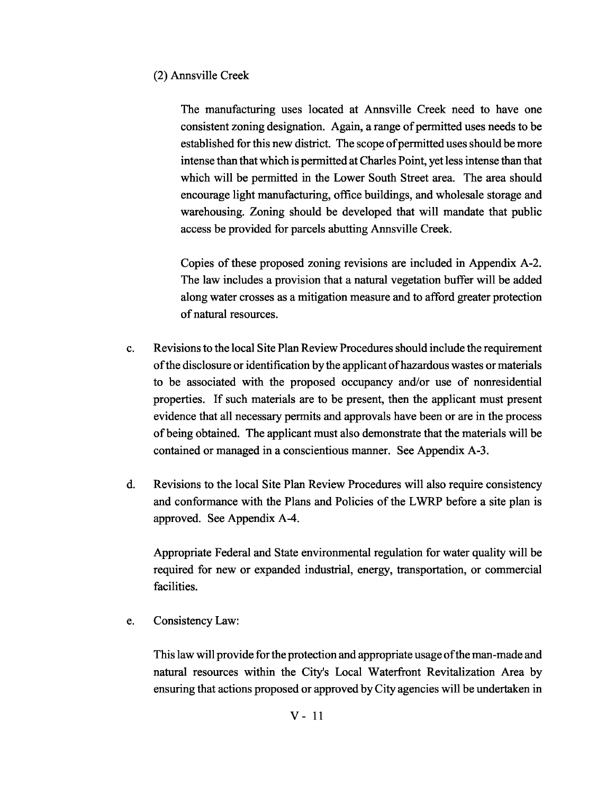### (2) Annsville Creek

The manufacturing uses located at Annsville Creek need to have one consistent zoning designation. Again, a range of permitted uses needs to be established for this new district. The scope of permitted uses should be more intense than that which is permitted at Charles Point, yet less intense than that which will be permitted in the Lower South Street area. The area should encourage light manufacturing, office buildings, and wholesale storage and warehousing. Zoning should be developed that will mandate that public access be provided for parcels abutting Annsville Creek.

Copies of these proposed zoning revisions are included in Appendix A-2. The law includes a provision that a natural vegetation buffer will be added along water crosses as a mitigation measure and to afford greater protection ofnatural resources.

- c. Revisions to the local Site PlanReview Procedures should include the requirement ofthe disclosure or identification by the applicant ofhazardous wastes ormaterials to be associated with the proposed occupancy and/or use of nonresidential properties. If such materials are to be present, then the applicant must present evidence that all necessary permits and approvals have been or are in the process ofbeing obtained. The applicant must also demonstrate that the materials will be contained or managed in a conscientious manner. See Appendix A-3.
- d. Revisions to the local Site Plan Review Procedures will also require consistency and conformance with the Plans and Policies of the LWRP before a site plan is approved. See Appendix A-4.

Appropriate Federal and State environmental regulation for water quality will be required for new or expanded industrial, energy, transportation, or commercial facilities.

e. Consistency Law:

This law will provide for the protection and appropriate usage of the man-made and natural resources within the City's Local Waterfront Revitalization Area by ensuring that actions proposed or approved byCity agencies will be undertaken in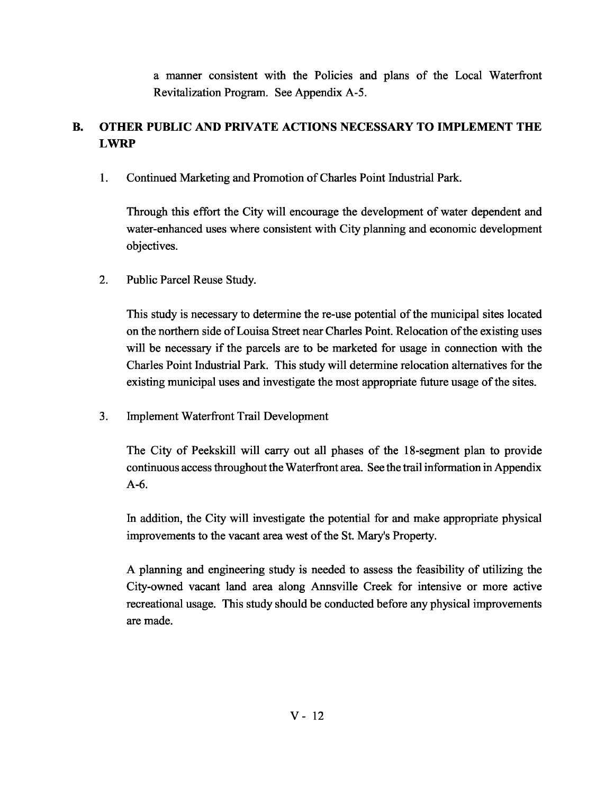a manner consistent with the Policies and plans of the Local Waterfront Revitalization Program. See Appendix A-5.

# **B. OTHER PUBLIC AND PRIVATE ACTIONS NECESSARY TO IMPLEMENT THE LWRP**

1. Continued Marketing and Promotion ofCharles Point Industrial Park.

Through this effort the City will encourage the development of water dependent and water-enhanced uses where consistent with City planning and economic development objectives.

2. Public Parcel Reuse Study.

This study is necessary to determine the re-use potential of the municipal sites located on the northern side of Louisa Street near Charles Point. Relocation of the existing uses will be necessary if the parcels are to be marketed for usage in connection with the Charles Point Industrial Park. This study will determine relocation alternatives for the existing municipal uses and investigate the most appropriate future usage of the sites.

3. Implement Waterfront Trail Development

The City of Peekskill will carry out all phases of the 18-segment plan to provide continuous access throughout the Waterfront area. See the trail information in Appendix A-6.

In addition, the City will investigate the potential for and make appropriate physical improvements to the vacant area west of the St. Mary's Property.

A planning and engineering study is needed to assess the feasibility of utilizing the City-owned vacant land area along Annsville Creek for intensive or more active recreational usage. This study should be conducted before any physical improvements are made.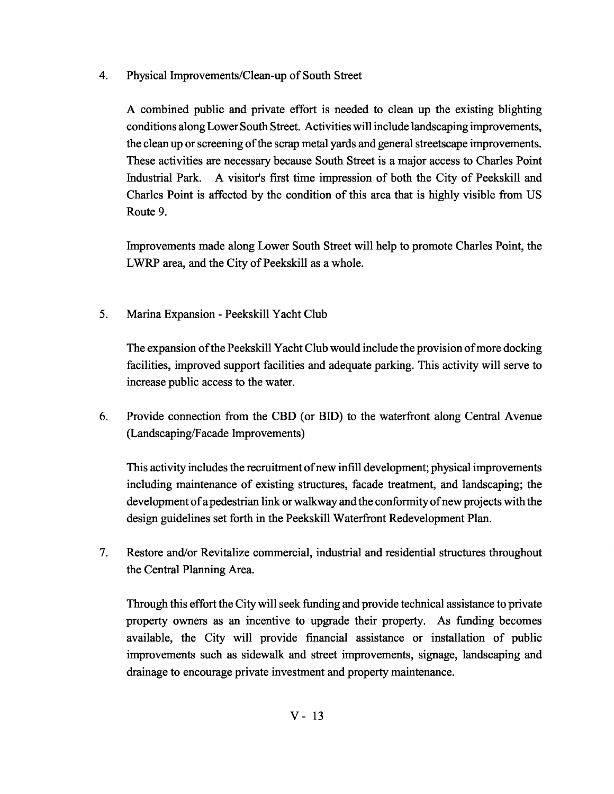4. Physical Improvements/Clean-up of South Street

A combined public and private effort is needed to clean up the existing blighting conditions along Lower South Street. Activities will include landscaping improvements, the clean up or screening of the scrap metal yards and general streetscape improvements. These activities are necessary because South Street is a major access to Charles Point Industrial Park. A visitor's first time impression of both the City of Peekskill and Charles Point is affected by the condition of this area that is highly visible from US Route 9.

Improvements made along Lower South Street will help to promote Charles Point, the LWRP area, and the City of Peekskill as a whole.

5. Marina Expansion - Peekskill Yacht Club

The expansion of the Peekskill Yacht Club would include the provision of more docking facilities, improved support facilities and adequate parking. This activity will serve to increase public access to the water.

6. Provide connection from the CBD (or BID) to the waterfront along Central Avenue (Landscaping/Facade Improvements)

This activity includes the recruitment ofnew infill development; physical improvements including maintenance of existing structures, facade treatment, and landscaping; the development of a pedestrian link or walkway and the conformity of new projects with the design guidelines set forth in the Peekskill Waterfront Redevelopment Plan.

7. Restore and/or Revitalize commercial, industrial and residential structures throughout the Central Planning Area.

Through this effort the City will seek funding and provide technical assistance to private property owners as an incentive to upgrade their property. As funding becomes available, the City will provide financial assistance or installation of public improvements such as sidewalk and street improvements, signage, landscaping and drainage to encourage private investment and property maintenance.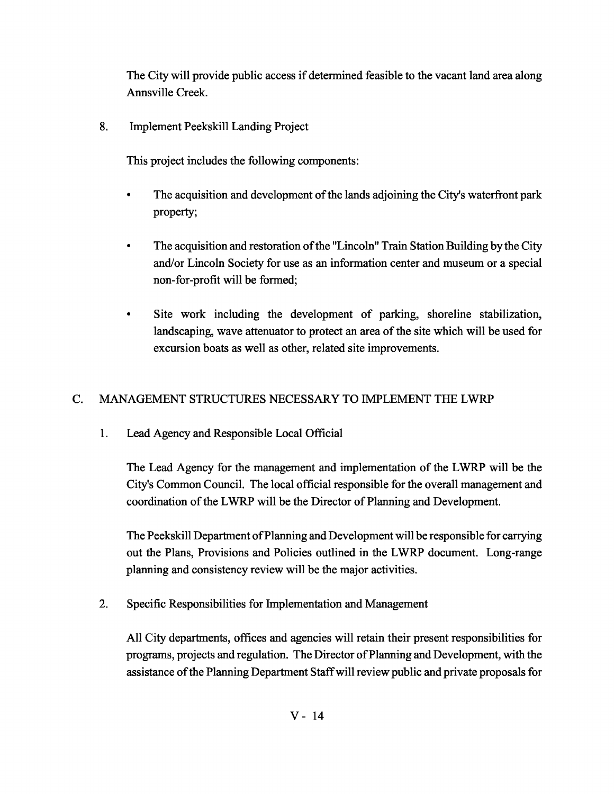The City will provide public access if determined feasible to the vacant land area along Annsville Creek.

8. Implement Peekskill Landing Project

This project includes the following components:

- The acquisition and development of the lands adjoining the City's waterfront park property;
- The acquisition and restoration of the "Lincoln" Train Station Building by the City and/or Lincoln Society for use as an information center and museum or a special non-for-profit will be formed;
- Site work including the development of parking, shoreline stabilization, landscaping, wave attenuator to protect an area of the site which will be used for excursion boats as well as other, related site improvements.

## C. MANAGEMENT STRUCTURES NECESSARY TO IMPLEMENT THE LWRP

1. Lead Agency and Responsible Local Official

The Lead Agency for the management and implementation of the LWRP will be the City's Common Council. The local official responsible for the overall management and coordination of the LWRP will be the Director of Planning and Development.

The Peekskill Department ofPlanning and Development will be responsible for carrying out the Plans, Provisions and Policies outlined in the LWRP document. Long-range planning and consistency review will be the major activities.

2. Specific Responsibilities for Implementation and Management

All City departments, offices and agencies will retain their present responsibilities for programs, projects and regulation. The Director ofPlanning and Development, with the assistance ofthe Planning Department Staffwill review public and private proposals for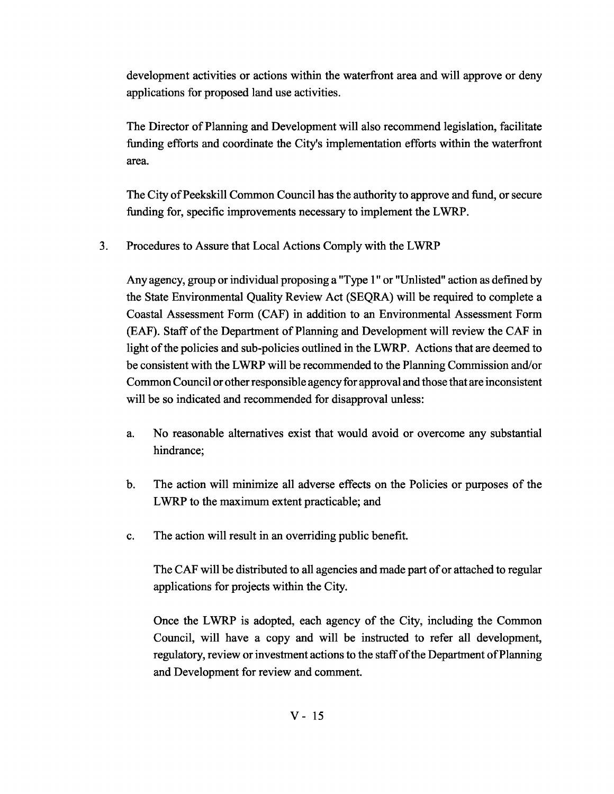development activities or actions within the waterfront area and will approve or deny applications for proposed land use activities.

The Director of Planning and Development will also recommend legislation, facilitate funding efforts and coordinate the City's implementation efforts within the waterfront area.

The City of Peekskill Common Council has the authority to approve and fund, or secure funding for, specific improvements necessary to implement the LWRP.

3. Procedures to Assure that Local Actions Comply with the LWRP

Any agency, group or individual proposing a "Type 1" or "Unlisted" action as defined by the State Environmental Quality Review Act (SEQRA) will be required to complete a Coastal Assessment Form (CAP) in addition to an Environmental Assessment Form (EAF). Staff of the Department of Planning and Development will review the CAF in light of the policies and sub-policies outlined in the LWRP. Actions that are deemed to be consistent with the LWRP will be recommended to the Planning Commission and/or CommonCouncilor otherresponsible agency for approval and those that are inconsistent will be so indicated and recommended for disapproval unless:

- a. No reasonable alternatives exist that would avoid or overcome any substantial hindrance;
- b. The action will minimize all adverse effects on the Policies or purposes of the LWRP to the maximum extent practicable; and
- c. The action will result in an overriding public benefit.

The CAF will be distributed to all agencies and made part of or attached to regular applications for projects within the City.

Once the LWRP is adopted, each agency of the City, including the Common Council, will have a copy and will be instructed to refer all development, regulatory, review or investment actions to the staffofthe Department ofPlanning and Development for review and comment.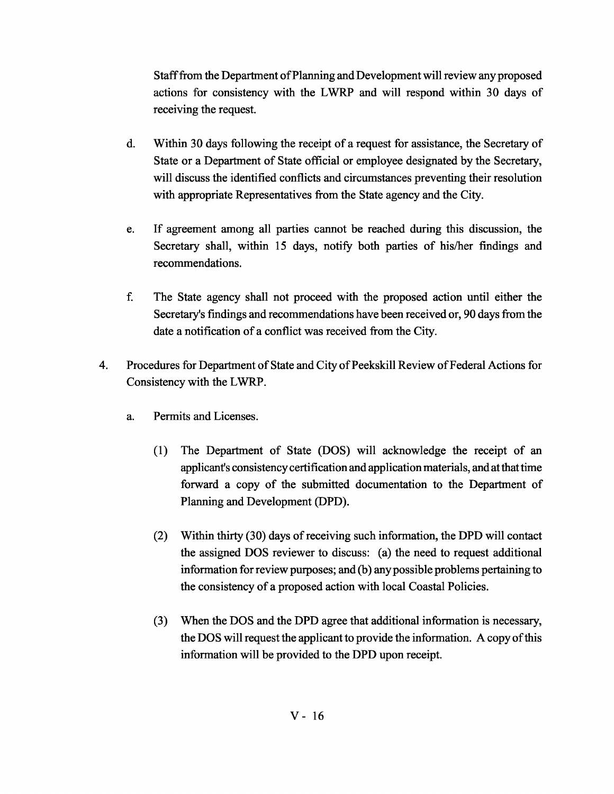Stafffrom the Department ofPlanning andDevelopment will review any proposed actions for consistency with the LWRP and will respond within 30 days of receiving the request.

- d. Within 30 days following the receipt of a request for assistance, the Secretary of State or a Department of State official or employee designated by the Secretary, will discuss the identified conflicts and circumstances preventing their resolution with appropriate Representatives from the State agency and the City.
- e. If agreement among all parties cannot be reached during this discussion, the Secretary shall, within 15 days, notify both parties of his/her findings and recommendations.
- f. The State agency shall not proceed with the proposed action until either the Secretary's fmdings and recommendations have been received or, 90 days from the date a notification of a conflict was received from the City.
- 4. Procedures for Department of State and City of Peekskill Review of Federal Actions for Consistency with the LWRP.
	- a. Permits and Licenses.
		- (1) The Department of State (DOS) will acknowledge the receipt of an applicant's consistency certification and application materials, and at that time forward a copy of the submitted documentation to the Department of Planning and Development (DPD).
		- (2) Within thirty (30) days ofreceiving such information, the DPD will contact the assigned DOS reviewer to discuss: (a) the need to request additional information for review purposes; and (b) anypossible problems pertaining to the consistency of a proposed action with local Coastal Policies.
		- (3) When the DOS and the DPD agree that additional information is necessary, the DOS will request the applicant to provide the information. A copy of this information will be provided to the DPD upon receipt.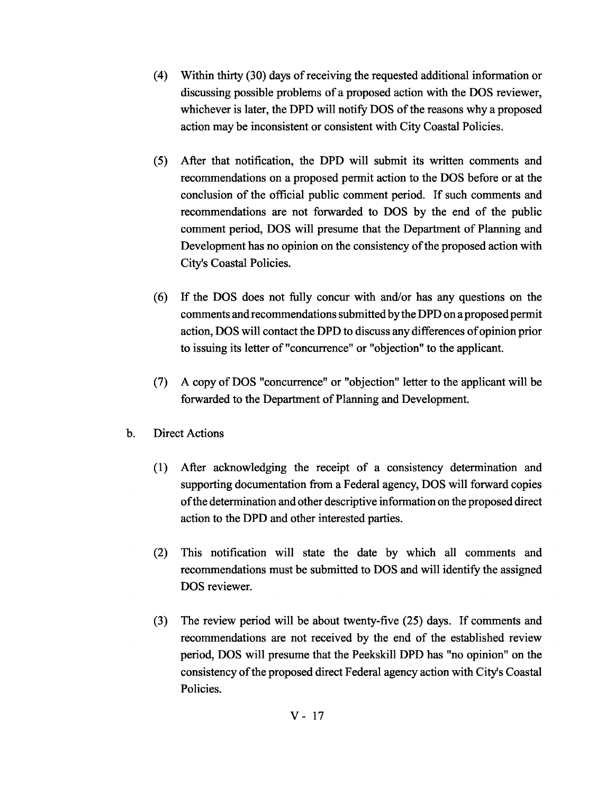- (4) Within thirty (30) days ofreceiving the requested additional information or discussing possible problems of a proposed action with the DOS reviewer, whichever is later, the DPD will notify DOS of the reasons why a proposed action may be inconsistent or consistent with City Coastal Policies.
- (5) After that notification, the DPD will submit its written comments and recommendations on a proposed permit action to the DOS before or at the conclusion of the official public comment period. If such comments and recommendations are not forwarded to DOS by the end of the public comment period, DOS will presume that the Department of Planning and Development has no opinion on the consistency of the proposed action with City's Coastal Policies.
- (6) If the DOS does not fully concur with and/or has any questions on the comments and recommendations submitted by the DPD on a proposed permit action, DOS will contact the DPD to discuss any differences ofopinion prior to issuing its letter of "concurrence" or "objection" to the applicant.
- (7) A copy of DOS "concurrence" or "objection" letter to the applicant will be forwarded to the Department of Planning and Development.
- b. Direct Actions
	- (1) After acknowledging the receipt of a consistency determination and supporting documentation from a Federal agency, DOS will forward copies ofthe determination and other descriptive information on the proposed direct action to the DPD and other interested parties.
	- (2) This notification will state the date by which all comments and recommendations must be submitted to DOS and will identify the assigned DOS reviewer.
	- (3) The review period will be about twenty-five (25) days. If comments and recommendations are not received by the end of the established review period, DOS will presume that the Peekskill DPD has "no opinion" on the consistency of the proposed direct Federal agency action with City's Coastal Policies.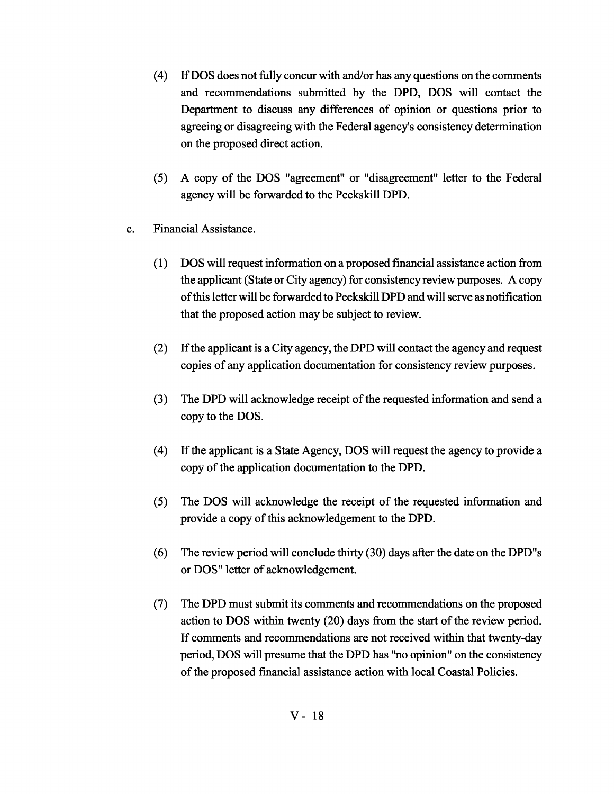- (4) If DOS does not fully concur with and/or has any questions on the comments and recommendations submitted by the DPD, DOS will contact the Department to discuss any differences of opinion or questions prior to agreeing or disagreeing with the Federal agency's consistency determination on the proposed direct action.
- (5) A copy of the DOS "agreement" or "disagreement" letter to the Federal agency will be forwarded to the Peekskill DPD.
- c. Financial Assistance.
	- (1) DOS will request information on a proposed financial assistance action from the applicant (State or City agency) for consistency review purposes. A copy ofthis letter will be forwarded to Peekskill DPD andwill serve as notification that the proposed action may be subject to review.
	- (2) Ifthe applicant is a City agency, the DPD will contact the agency and request copies of any application documentation for consistency review purposes.
	- (3) The DPD will acknowledge receipt of the requested information and send a copy to the DOS.
	- (4) If the applicant is a State Agency, DOS will request the agency to provide a copy of the application documentation to the DPD.
	- (5) The DOS will acknowledge the receipt of the requested information and provide a copy of this acknowledgement to the DPD.
	- (6) The review period will conclude thirty (30) days after the date on the DPD"s or DOS" letter of acknowledgement.
	- (7) The DPD must submit its comments and recommendations on the proposed action to DOS within twenty (20) days from the start of the review period. If comments and recommendations are not received within that twenty-day period, DOS will presume that the DPD has "no opinion" on the consistency of the proposed financial assistance action with local Coastal Policies.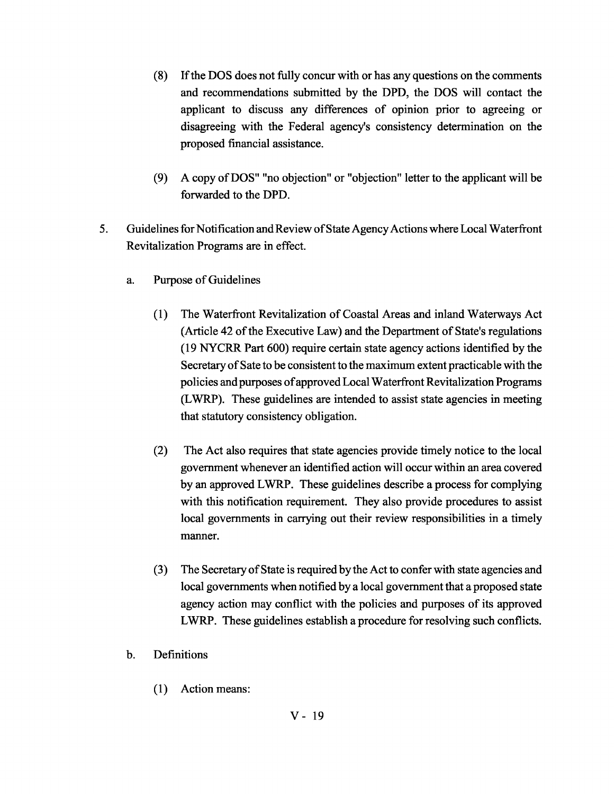- (8) Ifthe DOS does not fully concur with or has any questions on the comments and recommendations submitted by the DPD, the DOS will contact the applicant to discuss any differences of opinion prior to agreeing or disagreeing with the Federal agency's consistency determination on the proposed financial assistance.
- (9) A copy ofDOS" "no objection" or "objection" letter to the applicant will be forwarded to the DPD.
- 5. Guidelines for Notification and Review of State Agency Actions where Local Waterfront Revitalization Programs are in effect.
	- a. Purpose of Guidelines
		- (1) The Waterfront Revitalization of Coastal Areas and inland Waterways Act (Article 42 of the Executive Law) and the Department of State's regulations (19 NYCRR Part 600) require certain state agency actions identified by the Secretary of Sate to be consistent to the maximum extent practicable with the policies andpurposes ofapproved LocalWaterfront Revitalization Programs (LWRP). These guidelines are intended to assist state agencies in meeting that statutory consistency obligation.
		- (2) The Act also requires that state agencies provide timely notice to the local government whenever an identified action will occur within an area covered by an approved LWRP. These guidelines describe a process for complying with this notification requirement. They also provide procedures to assist local governments in carrying out their review responsibilities in a timely manner.
		- (3) The Secretary ofState is required by the Act to confer with state agencies and local governments when notified by a local government that a proposed state agency action may conflict with the policies and purposes of its approved LWRP. These guidelines establish a procedure for resolving such conflicts.
	- b. Definitions
		- (1) Action means: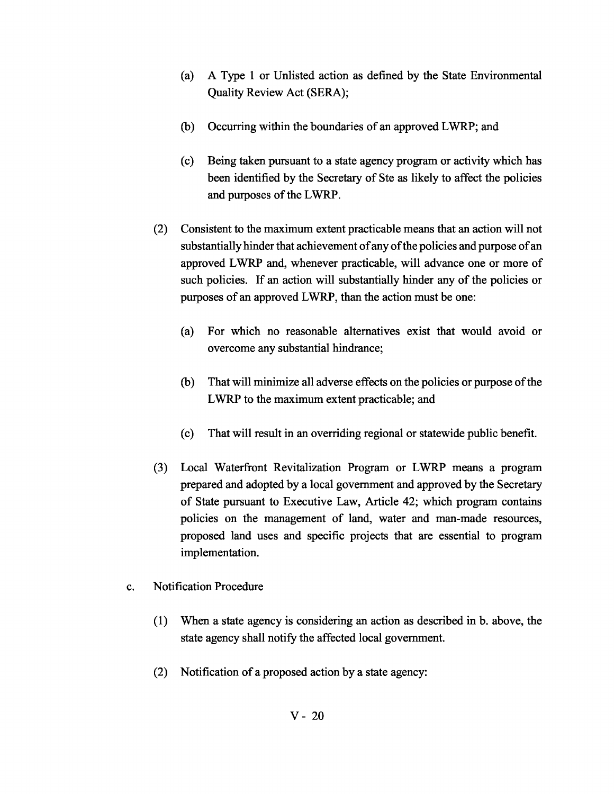- (a) A Type 1 or Unlisted action as defined by the State Environmental Quality Review Act (SERA);
- (b) Occurring within the boundaries of an approved LWRP; and
- (c) Being taken pursuant to a state agency program or activity which has been identified by the Secretary of Ste as likely to affect the policies and purposes of the LWRP.
- (2) Consistent to the maximum extent practicable means that an action will not substantially hinder that achievement of any of the policies and purpose of an approved LWRP and, whenever practicable, will advance one or more of such policies. If an action will substantially hinder any of the policies or purposes of an approved LWRP, than the action must be one:
	- (a) For which no reasonable alternatives exist that would avoid or overcome any substantial hindrance;
	- (b) That will minimize all adverse effects on the policies or purpose of the LWRP to the maximum extent practicable; and
	- (c) That will result in an overriding regional or statewide public benefit.
- (3) Local Waterfront Revitalization Program or LWRP means a program prepared and adopted by a local government and approved by the Secretary of State pursuant to Executive Law, Article 42; which program contains policies on the management of land, water and man-made resources, proposed land uses and specific projects that are essential to program implementation.
- c. Notification Procedure
	- (1) When a state agency is considering an action as described in b. above, the state agency shall notify the affected local government.
	- (2) Notification of a proposed action by a state agency: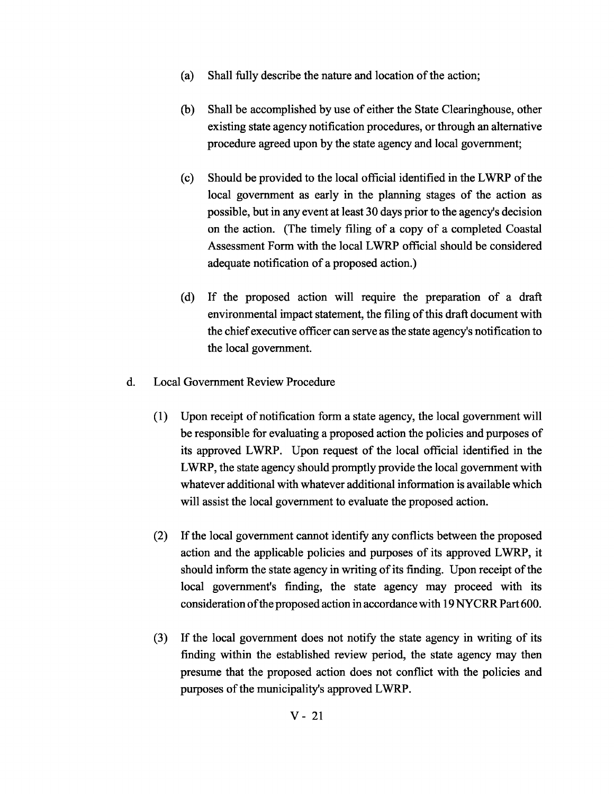- (a) Shall fully describe the nature and location of the action;
- (b) Shall be accomplished by use of either the State Clearinghouse, other existing state agency notification procedures, or through an alternative procedure agreed upon by the state agency and local government;
- (c) Should be provided to the local official identified in the LWRP ofthe local government as early in the planning stages of the action as possible, but in any event at least 30 days prior to the agency's decision on the action. (The timely filing of a copy of a completed Coastal Assessment Form with the local LWRP official should be considered adequate notification of a proposed action.)
- (d) If the proposed action will require the preparation of a draft environmental impact statement, the filing of this draft document with the chief executive officer can serve as the state agency's notification to the local government.
- d. Local Government Review Procedure
	- (1) Upon receipt of notification form a state agency, the local government will be responsible for evaluating a proposed action the policies and purposes of its approved LWRP. Upon request of the local official identified in the LWRP, the state agency should promptly provide the local government with whatever additional with whatever additional information is available which will assist the local government to evaluate the proposed action.
	- (2) If the local government cannot identify any conflicts between the proposed action and the applicable policies and purposes of its approved LWRP, it should inform the state agency in writing of its finding. Upon receipt of the local government's finding, the state agency may proceed with its consideration of the proposed action in accordance with 19 NYCRR Part 600.
	- (3) If the local government does not notify the state agency in writing of its finding within the established review period, the state agency may then presume that the proposed action does not conflict with the policies and purposes of the municipality's approved LWRP.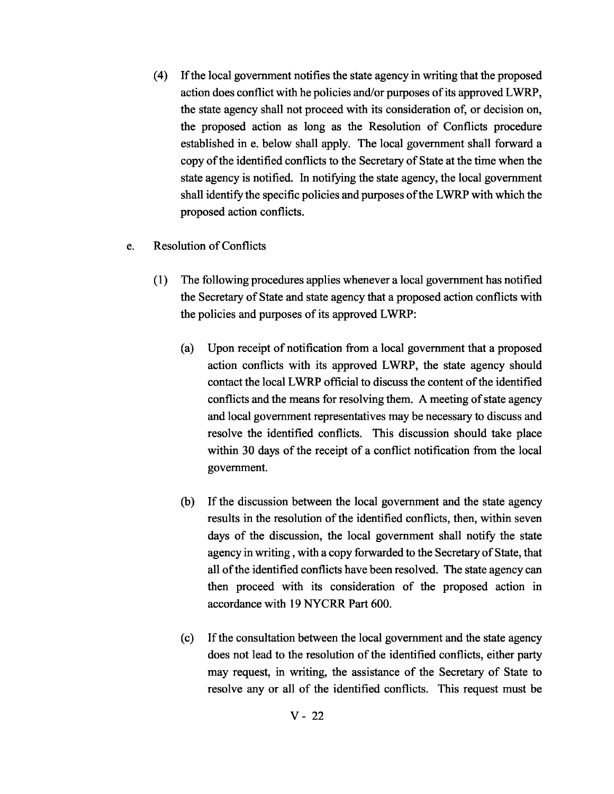- (4) Ifthe local government notifies the state agency in writing that the proposed action does conflict with he policies and/or purposes of its approved LWRP, the state agency shall not proceed with its consideration of, or decision on, the proposed action as long as the Resolution of Conflicts procedure established in e. below shall apply. The local government shall forward a copy of the identified conflicts to the Secretary of State at the time when the state agency is notified. In notifying the state agency, the local government shall identify the specific policies and purposes of the LWRP with which the proposed action conflicts.
- e. Resolution of Conflicts
	- (1) The following procedures applies whenever a local government has notified the Secretary of State and state agency that a proposed action conflicts with the policies and purposes of its approved LWRP:
		- (a) Upon receipt of notification from a local government that a proposed action conflicts with its approved LWRP, the state agency should contact the local LWRP official to discuss the content of the identified conflicts and the means for resolving them. A meeting of state agency and local government representatives may be necessary to discuss and resolve the identified conflicts. This discussion should take place within 30 days of the receipt of a conflict notification from the local government.
		- (b) If the discussion between the local government and the state agency results in the resolution of the identified conflicts, then, within seven days of the discussion, the local government shall notify the state agency in writing, with a copy forwarded to the Secretary of State, that all of the identified conflicts have been resolved. The state agency can then proceed with its consideration of the proposed action in accordance with 19 NYCRR Part 600.
		- (c) Ifthe consultation between the local government and the state agency does not lead to the resolution of the identified conflicts, either party may request, in writing, the assistance of the Secretary of State to resolve any or all of the identified conflicts. This request must be